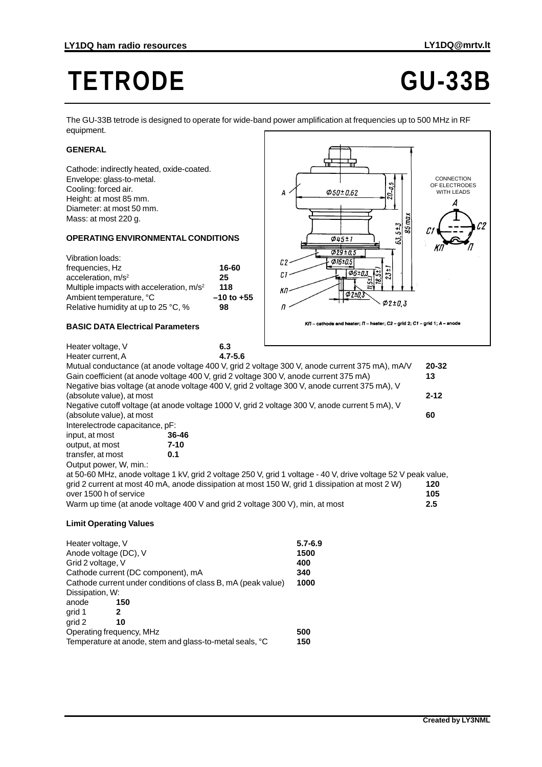# **TETRODE GU-33B**

The GU-33B tetrode is designed to operate for wide-band power amplification at frequencies up to 500 MHz in RF equipment.

## **GENERAL**

Cathode: indirectly heated, oxide-coated. Envelope: glass-to-metal. Cooling: forced air. Height: at most 85 mm. Diameter: at most 50 mm. Mass: at most 220 g.

### **OPERATING ENVIRONMENTAL CONDITIONS**

| Vibration loads:                            |                |
|---------------------------------------------|----------------|
| frequencies, Hz                             | 16-60          |
| acceleration, $m/s2$                        | 25             |
| Multiple impacts with acceleration, $m/s^2$ | 118            |
| Ambient temperature, °C                     | $-10$ to $+55$ |
| Relative humidity at up to 25 °C, %         | 98             |
|                                             |                |



#### **BASIC DATA Electrical Parameters**

| Heater voltage, V                                                                                             | 6.3         |                                                                                                |          |  |
|---------------------------------------------------------------------------------------------------------------|-------------|------------------------------------------------------------------------------------------------|----------|--|
| Heater current, A                                                                                             | $4.7 - 5.6$ |                                                                                                |          |  |
|                                                                                                               |             |                                                                                                | 20-32    |  |
| Mutual conductance (at anode voltage 400 V, grid 2 voltage 300 V, anode current 375 mA), mA/V                 |             |                                                                                                |          |  |
| Gain coefficient (at anode voltage 400 V, grid 2 voltage 300 V, anode current 375 mA)<br>13                   |             |                                                                                                |          |  |
|                                                                                                               |             | Negative bias voltage (at anode voltage 400 V, grid 2 voltage 300 V, anode current 375 mA), V  |          |  |
| (absolute value), at most                                                                                     |             |                                                                                                | $2 - 12$ |  |
|                                                                                                               |             | Negative cutoff voltage (at anode voltage 1000 V, grid 2 voltage 300 V, anode current 5 mA), V |          |  |
| (absolute value), at most                                                                                     |             |                                                                                                | 60       |  |
| Interelectrode capacitance, pF:                                                                               |             |                                                                                                |          |  |
| input, at most                                                                                                | 36-46       |                                                                                                |          |  |
| output, at most                                                                                               | $7 - 10$    |                                                                                                |          |  |
| transfer, at most                                                                                             | 0.1         |                                                                                                |          |  |
| Output power, W, min.:                                                                                        |             |                                                                                                |          |  |
| at 50-60 MHz, anode voltage 1 kV, grid 2 voltage 250 V, grid 1 voltage - 40 V, drive voltage 52 V peak value, |             |                                                                                                |          |  |
|                                                                                                               |             | grid 2 current at most 40 mA, anode dissipation at most 150 W, grid 1 dissipation at most 2 W) | 120      |  |
| over 1500 h of service                                                                                        |             |                                                                                                | 105      |  |
| Warm up time (at anode voltage 400 V and grid 2 voltage 300 V), min, at most                                  |             |                                                                                                | 2.5      |  |
|                                                                                                               |             |                                                                                                |          |  |
| <b>Limit Operating Values</b>                                                                                 |             |                                                                                                |          |  |
|                                                                                                               |             |                                                                                                |          |  |

| $5.7 - 6.9$ |
|-------------|
| 1500        |
| 400         |
| 340         |
| 1000        |
|             |
|             |
|             |
|             |
| 500         |
| 150         |
|             |